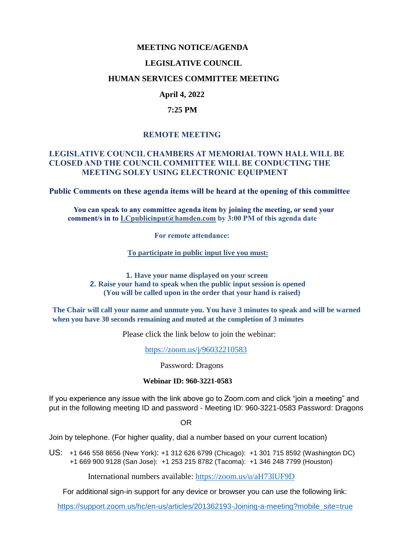# **MEETING NOTICE/AGENDA**

### **LEGISLATIVE COUNCIL**

### **HUMAN SERVICES COMMITTEE MEETING**

## **April 4, 2022**

### **7:25 PM**

## **REMOTE MEETING**

## **LEGISLATIVE COUNCIL CHAMBERS AT MEMORIAL TOWN HALL WILL BE CLOSED AND THE COUNCIL COMMITTEE WILL BE CONDUCTING THE MEETING SOLEY USING ELECTRONIC EQUIPMENT**

**Public Comments on these agenda items will be heard at the opening of this committee** 

 **You can speak to any committee agenda item by joining the meeting, or send your comment/s in to [LCpublicinput@hamden.com](mailto:LCpublicinput@hamden.com) by 3:00 PM of this agenda date**

 **For remote attendance:**

**To participate in public input live you must:**

**1. Have your name displayed on your screen 2. Raise your hand to speak when the public input session is opened (You will be called upon in the order that your hand is raised)**

**The Chair will call your name and unmute you. You have 3 minutes to speak and will be warned when you have 30 seconds remaining and muted at the completion of 3 minutes**

Please click the link below to join the webinar:

<https://zoom.us/j/96032210583>

Password: Dragons

#### **Webinar ID: 960-3221-0583**

If you experience any issue with the link above go to Zoom.com and click "join a meeting" and put in the following meeting ID and password - Meeting ID: 960-3221-0583 Password: Dragons

OR

Join by telephone. (For higher quality, dial a number based on your current location)

US: [+1 646 558 8656 \(New York\)](tel:+16465588656): [+1 312 626 6799 \(Chicago\):](tel:+13126266799) [+1 301 715 8592 \(Washington DC\)](tel:+13017158592) +1 669 900 9128 (San Jose): [+1 253 215 8782 \(Tacoma\):](tel:+12532158782) [+1 346 248 7799 \(Houston\)](tel:+13462487799)

International numbers available:<https://zoom.us/u/aH73lUF9D>

For additional sign-in support for any device or browser you can use the following link:

[https://support.zoom.us/hc/en-us/articles/201362193-Joining-a-meeting?mobile\\_site=true](https://support.zoom.us/hc/en-us/articles/201362193-Joining-a-meeting?mobile_site=true)